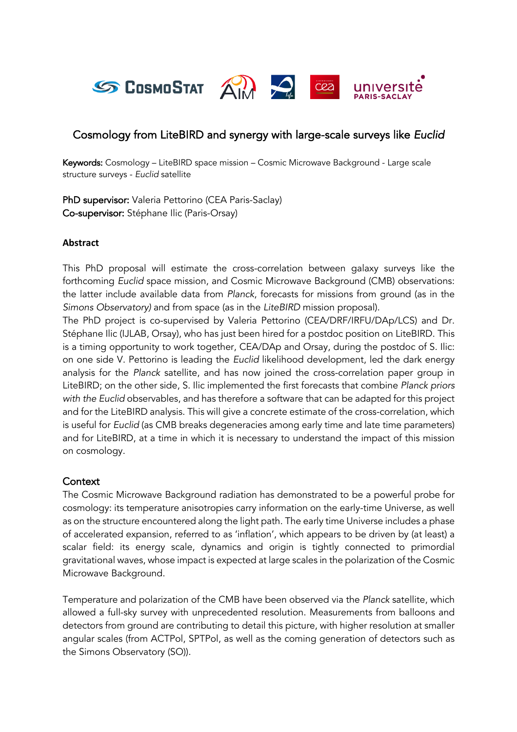

# Cosmology from LiteBIRD and synergy with large-scale surveys like *Euclid*

Keywords: Cosmology – LiteBIRD space mission – Cosmic Microwave Background - Large scale structure surveys - *Euclid* satellite

PhD supervisor: Valeria Pettorino (CEA Paris-Saclay) Co-supervisor: Stéphane Ilic (Paris-Orsay)

#### **Abstract**

This PhD proposal will estimate the cross-correlation between galaxy surveys like the forthcoming *Euclid* space mission, and Cosmic Microwave Background (CMB) observations: the latter include available data from *Planck*, forecasts for missions from ground (as in the *Simons Observatory)* and from space (as in the *LiteBIRD* mission proposal).

The PhD project is co-supervised by Valeria Pettorino (CEA/DRF/IRFU/DAp/LCS) and Dr. Stéphane Ilic (IJLAB, Orsay), who has just been hired for a postdoc position on LiteBIRD. This is a timing opportunity to work together, CEA/DAp and Orsay, during the postdoc of S. Ilic: on one side V. Pettorino is leading the *Euclid* likelihood development, led the dark energy analysis for the *Planck* satellite, and has now joined the cross-correlation paper group in LiteBIRD; on the other side, S. Ilic implemented the first forecasts that combine *Planck priors with the Euclid* observables, and has therefore a software that can be adapted for this project and for the LiteBIRD analysis. This will give a concrete estimate of the cross-correlation, which is useful for *Euclid* (as CMB breaks degeneracies among early time and late time parameters) and for LiteBIRD, at a time in which it is necessary to understand the impact of this mission on cosmology.

### **Context**

The Cosmic Microwave Background radiation has demonstrated to be a powerful probe for cosmology: its temperature anisotropies carry information on the early-time Universe, as well as on the structure encountered along the light path. The early time Universe includes a phase of accelerated expansion, referred to as 'inflation', which appears to be driven by (at least) a scalar field: its energy scale, dynamics and origin is tightly connected to primordial gravitational waves, whose impact is expected at large scales in the polarization of the Cosmic Microwave Background.

Temperature and polarization of the CMB have been observed via the *Planck* satellite, which allowed a full-sky survey with unprecedented resolution. Measurements from balloons and detectors from ground are contributing to detail this picture, with higher resolution at smaller angular scales (from ACTPol, SPTPol, as well as the coming generation of detectors such as the Simons Observatory (SO)).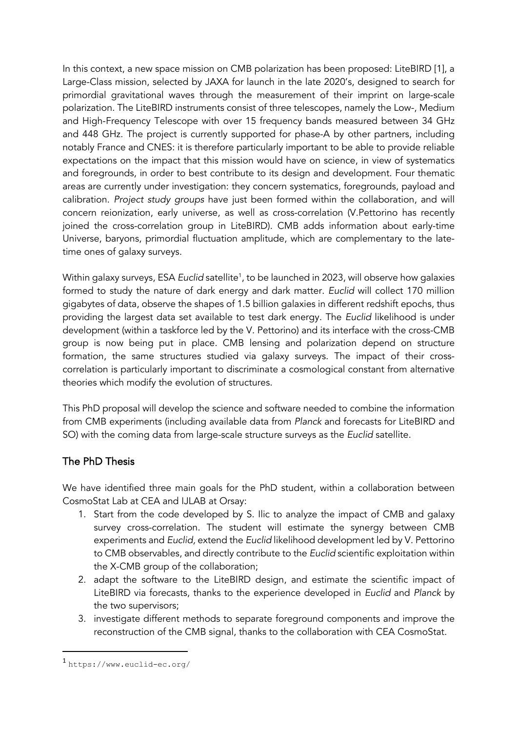In this context, a new space mission on CMB polarization has been proposed: LiteBIRD [1], a Large-Class mission, selected by JAXA for launch in the late 2020's, designed to search for primordial gravitational waves through the measurement of their imprint on large-scale polarization. The LiteBIRD instruments consist of three telescopes, namely the Low-, Medium and High-Frequency Telescope with over 15 frequency bands measured between 34 GHz and 448 GHz. The project is currently supported for phase-A by other partners, including notably France and CNES: it is therefore particularly important to be able to provide reliable expectations on the impact that this mission would have on science, in view of systematics and foregrounds, in order to best contribute to its design and development. Four thematic areas are currently under investigation: they concern systematics, foregrounds, payload and calibration. *Project study groups* have just been formed within the collaboration, and will concern reionization, early universe, as well as cross-correlation (V.Pettorino has recently joined the cross-correlation group in LiteBIRD). CMB adds information about early-time Universe, baryons, primordial fluctuation amplitude, which are complementary to the latetime ones of galaxy surveys.

Within galaxy surveys, ESA *Euclid* satellite<sup>1</sup>, to be launched in 2023, will observe how galaxies formed to study the nature of dark energy and dark matter. *Euclid* will collect 170 million gigabytes of data, observe the shapes of 1.5 billion galaxies in different redshift epochs, thus providing the largest data set available to test dark energy. The *Euclid* likelihood is under development (within a taskforce led by the V. Pettorino) and its interface with the cross-CMB group is now being put in place. CMB lensing and polarization depend on structure formation, the same structures studied via galaxy surveys. The impact of their crosscorrelation is particularly important to discriminate a cosmological constant from alternative theories which modify the evolution of structures.

This PhD proposal will develop the science and software needed to combine the information from CMB experiments (including available data from *Planck* and forecasts for LiteBIRD and SO) with the coming data from large-scale structure surveys as the *Euclid* satellite.

# The PhD Thesis

We have identified three main goals for the PhD student, within a collaboration between CosmoStat Lab at CEA and IJLAB at Orsay:

- 1. Start from the code developed by S. Ilic to analyze the impact of CMB and galaxy survey cross-correlation. The student will estimate the synergy between CMB experiments and *Euclid,* extend the *Euclid* likelihood development led by V. Pettorino to CMB observables, and directly contribute to the *Euclid* scientific exploitation within the X-CMB group of the collaboration;
- 2. adapt the software to the LiteBIRD design, and estimate the scientific impact of LiteBIRD via forecasts, thanks to the experience developed in *Euclid* and *Planck* by the two supervisors;
- 3. investigate different methods to separate foreground components and improve the reconstruction of the CMB signal, thanks to the collaboration with CEA CosmoStat.

<sup>1</sup> https://www.euclid-ec.org/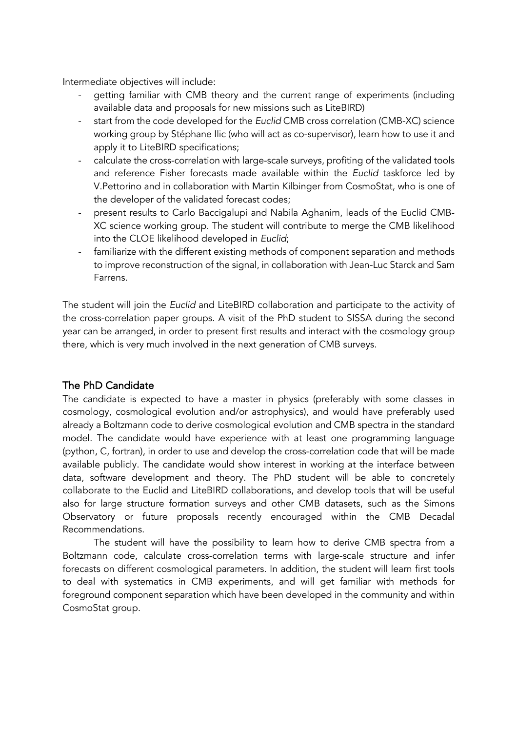Intermediate objectives will include:

- getting familiar with CMB theory and the current range of experiments (including available data and proposals for new missions such as LiteBIRD)
- start from the code developed for the *Euclid* CMB cross correlation (CMB-XC) science working group by Stéphane Ilic (who will act as co-supervisor), learn how to use it and apply it to LiteBIRD specifications;
- calculate the cross-correlation with large-scale surveys, profiting of the validated tools and reference Fisher forecasts made available within the *Euclid* taskforce led by V.Pettorino and in collaboration with Martin Kilbinger from CosmoStat, who is one of the developer of the validated forecast codes;
- present results to Carlo Baccigalupi and Nabila Aghanim, leads of the Euclid CMB-XC science working group. The student will contribute to merge the CMB likelihood into the CLOE likelihood developed in *Euclid*;
- familiarize with the different existing methods of component separation and methods to improve reconstruction of the signal, in collaboration with Jean-Luc Starck and Sam Farrens.

The student will join the *Euclid* and LiteBIRD collaboration and participate to the activity of the cross-correlation paper groups. A visit of the PhD student to SISSA during the second year can be arranged, in order to present first results and interact with the cosmology group there, which is very much involved in the next generation of CMB surveys.

### The PhD Candidate

The candidate is expected to have a master in physics (preferably with some classes in cosmology, cosmological evolution and/or astrophysics), and would have preferably used already a Boltzmann code to derive cosmological evolution and CMB spectra in the standard model. The candidate would have experience with at least one programming language (python, C, fortran), in order to use and develop the cross-correlation code that will be made available publicly. The candidate would show interest in working at the interface between data, software development and theory. The PhD student will be able to concretely collaborate to the Euclid and LiteBIRD collaborations, and develop tools that will be useful also for large structure formation surveys and other CMB datasets, such as the Simons Observatory or future proposals recently encouraged within the CMB Decadal Recommendations.

The student will have the possibility to learn how to derive CMB spectra from a Boltzmann code, calculate cross-correlation terms with large-scale structure and infer forecasts on different cosmological parameters. In addition, the student will learn first tools to deal with systematics in CMB experiments, and will get familiar with methods for foreground component separation which have been developed in the community and within CosmoStat group.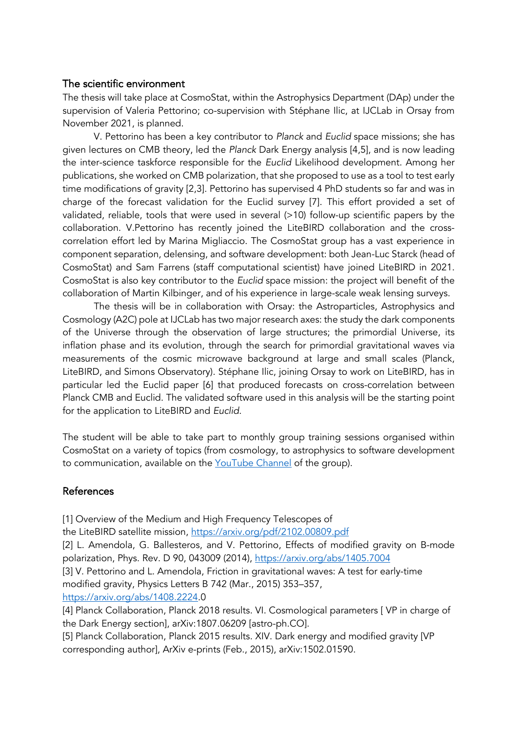### The scientific environment

The thesis will take place at CosmoStat, within the Astrophysics Department (DAp) under the supervision of Valeria Pettorino; co-supervision with Stéphane Ilic, at IJCLab in Orsay from November 2021, is planned.

V. Pettorino has been a key contributor to *Planck* and *Euclid* space missions; she has given lectures on CMB theory, led the *Planck* Dark Energy analysis [4,5], and is now leading the inter-science taskforce responsible for the *Euclid* Likelihood development. Among her publications, she worked on CMB polarization, that she proposed to use as a tool to test early time modifications of gravity [2,3]. Pettorino has supervised 4 PhD students so far and was in charge of the forecast validation for the Euclid survey [7]. This effort provided a set of validated, reliable, tools that were used in several (>10) follow-up scientific papers by the collaboration. V.Pettorino has recently joined the LiteBIRD collaboration and the crosscorrelation effort led by Marina Migliaccio. The CosmoStat group has a vast experience in component separation, delensing, and software development: both Jean-Luc Starck (head of CosmoStat) and Sam Farrens (staff computational scientist) have joined LiteBIRD in 2021. CosmoStat is also key contributor to the *Euclid* space mission: the project will benefit of the collaboration of Martin Kilbinger, and of his experience in large-scale weak lensing surveys.

The thesis will be in collaboration with Orsay: the Astroparticles, Astrophysics and Cosmology (A2C) pole at IJCLab has two major research axes: the study the dark components of the Universe through the observation of large structures; the primordial Universe, its inflation phase and its evolution, through the search for primordial gravitational waves via measurements of the cosmic microwave background at large and small scales (Planck, LiteBIRD, and Simons Observatory). Stéphane Ilic, joining Orsay to work on LiteBIRD, has in particular led the Euclid paper [6] that produced forecasts on cross-correlation between Planck CMB and Euclid. The validated software used in this analysis will be the starting point for the application to LiteBIRD and *Euclid*.

The student will be able to take part to monthly group training sessions organised within CosmoStat on a variety of topics (from cosmology, to astrophysics to software development to communication, available on the YouTube Channel of the group).

### References

[1] Overview of the Medium and High Frequency Telescopes of

the LiteBIRD satellite mission, https://arxiv.org/pdf/2102.00809.pdf

[2] L. Amendola, G. Ballesteros, and V. Pettorino, Effects of modified gravity on B-mode polarization, Phys. Rev. D 90, 043009 (2014), https://arxiv.org/abs/1405.7004

[3] V. Pettorino and L. Amendola, Friction in gravitational waves: A test for early-time modified gravity, Physics Letters B 742 (Mar., 2015) 353–357,

https://arxiv.org/abs/1408.2224.0

[4] Planck Collaboration, Planck 2018 results. VI. Cosmological parameters [ VP in charge of the Dark Energy section], arXiv:1807.06209 [astro-ph.CO].

[5] Planck Collaboration, Planck 2015 results. XIV. Dark energy and modified gravity [VP corresponding author], ArXiv e-prints (Feb., 2015), arXiv:1502.01590.